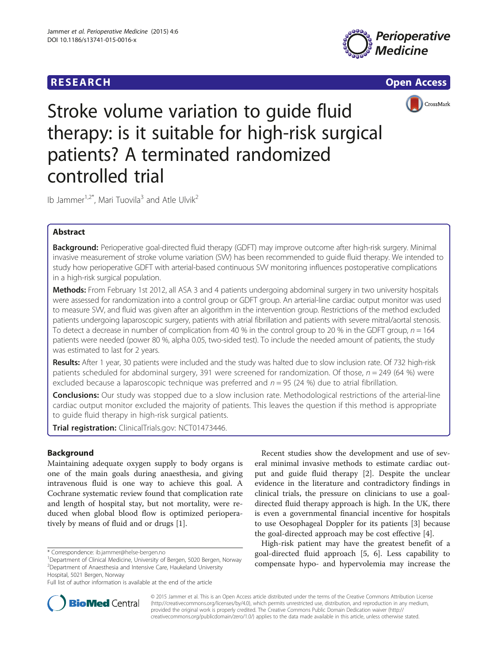

# **RESEARCH CHEAR CHEAR CHEAR CHEAR CHEAR CHEAR CHEAR CHEAR CHEAR CHEAR CHEAR CHEAR CHEAR CHEAR CHEAR CHEAR CHEAR**



# Stroke volume variation to guide fluid therapy: is it suitable for high-risk surgical patients? A terminated randomized controlled trial

Ib Jammer<sup>1,2\*</sup>, Mari Tuovila<sup>3</sup> and Atle Ulvik<sup>2</sup>

# Abstract

Background: Perioperative goal-directed fluid therapy (GDFT) may improve outcome after high-risk surgery. Minimal invasive measurement of stroke volume variation (SVV) has been recommended to guide fluid therapy. We intended to study how perioperative GDFT with arterial-based continuous SVV monitoring influences postoperative complications in a high-risk surgical population.

Methods: From February 1st 2012, all ASA 3 and 4 patients undergoing abdominal surgery in two university hospitals were assessed for randomization into a control group or GDFT group. An arterial-line cardiac output monitor was used to measure SVV, and fluid was given after an algorithm in the intervention group. Restrictions of the method excluded patients undergoing laparoscopic surgery, patients with atrial fibrillation and patients with severe mitral/aortal stenosis. To detect a decrease in number of complication from 40 % in the control group to 20 % in the GDFT group,  $n = 164$ patients were needed (power 80 %, alpha 0.05, two-sided test). To include the needed amount of patients, the study was estimated to last for 2 years.

Results: After 1 year, 30 patients were included and the study was halted due to slow inclusion rate. Of 732 high-risk patients scheduled for abdominal surgery, 391 were screened for randomization. Of those,  $n = 249$  (64 %) were excluded because a laparoscopic technique was preferred and  $n = 95$  (24 %) due to atrial fibrillation.

**Conclusions:** Our study was stopped due to a slow inclusion rate. Methodological restrictions of the arterial-line cardiac output monitor excluded the majority of patients. This leaves the question if this method is appropriate to guide fluid therapy in high-risk surgical patients.

Trial registration: ClinicalTrials.gov: [NCT01473446.](https://clinicaltrials.gov/ct2/show/NCT01473446)

# **Background**

Maintaining adequate oxygen supply to body organs is one of the main goals during anaesthesia, and giving intravenous fluid is one way to achieve this goal. A Cochrane systematic review found that complication rate and length of hospital stay, but not mortality, were reduced when global blood flow is optimized perioperatively by means of fluid and or drugs [[1\]](#page-4-0).

Recent studies show the development and use of several minimal invasive methods to estimate cardiac output and guide fluid therapy [\[2](#page-4-0)]. Despite the unclear evidence in the literature and contradictory findings in clinical trials, the pressure on clinicians to use a goaldirected fluid therapy approach is high. In the UK, there is even a governmental financial incentive for hospitals to use Oesophageal Doppler for its patients [[3\]](#page-4-0) because the goal-directed approach may be cost effective [\[4](#page-4-0)].

High-risk patient may have the greatest benefit of a goal-directed fluid approach [\[5](#page-4-0), [6\]](#page-4-0). Less capability to compensate hypo- and hypervolemia may increase the



© 2015 Jammer et al. This is an Open Access article distributed under the terms of the Creative Commons Attribution License [\(http://creativecommons.org/licenses/by/4.0\)](http://creativecommons.org/licenses/by/4.0), which permits unrestricted use, distribution, and reproduction in any medium, provided the original work is properly credited. The Creative Commons Public Domain Dedication waiver [\(http://](http://creativecommons.org/publicdomain/zero/1.0/) [creativecommons.org/publicdomain/zero/1.0/\)](http://creativecommons.org/publicdomain/zero/1.0/) applies to the data made available in this article, unless otherwise stated.

<sup>\*</sup> Correspondence: [ib.jammer@helse-bergen.no](mailto:ib.jammer@helse-bergen.no) <sup>1</sup>

<sup>&</sup>lt;sup>1</sup>Department of Clinical Medicine, University of Bergen, 5020 Bergen, Norway 2 Department of Anaesthesia and Intensive Care, Haukeland University Hospital, 5021 Bergen, Norway

Full list of author information is available at the end of the article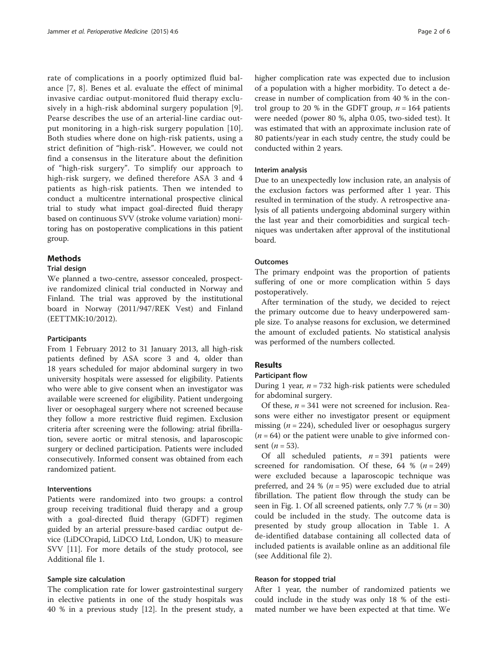rate of complications in a poorly optimized fluid balance [[7](#page-4-0), [8](#page-4-0)]. Benes et al. evaluate the effect of minimal invasive cardiac output-monitored fluid therapy exclusively in a high-risk abdominal surgery population [[9](#page-4-0)]. Pearse describes the use of an arterial-line cardiac output monitoring in a high-risk surgery population [[10](#page-4-0)]. Both studies where done on high-risk patients, using a strict definition of "high-risk". However, we could not find a consensus in the literature about the definition of "high-risk surgery". To simplify our approach to high-risk surgery, we defined therefore ASA 3 and 4 patients as high-risk patients. Then we intended to conduct a multicentre international prospective clinical trial to study what impact goal-directed fluid therapy based on continuous SVV (stroke volume variation) monitoring has on postoperative complications in this patient group.

#### Methods

#### Trial design

We planned a two-centre, assessor concealed, prospective randomized clinical trial conducted in Norway and Finland. The trial was approved by the institutional board in Norway (2011/947/REK Vest) and Finland (EETTMK:10/2012).

#### Participants

From 1 February 2012 to 31 January 2013, all high-risk patients defined by ASA score 3 and 4, older than 18 years scheduled for major abdominal surgery in two university hospitals were assessed for eligibility. Patients who were able to give consent when an investigator was available were screened for eligibility. Patient undergoing liver or oesophageal surgery where not screened because they follow a more restrictive fluid regimen. Exclusion criteria after screening were the following: atrial fibrillation, severe aortic or mitral stenosis, and laparoscopic surgery or declined participation. Patients were included consecutively. Informed consent was obtained from each randomized patient.

#### Interventions

Patients were randomized into two groups: a control group receiving traditional fluid therapy and a group with a goal-directed fluid therapy (GDFT) regimen guided by an arterial pressure-based cardiac output device (LiDCOrapid, LiDCO Ltd, London, UK) to measure SVV [\[11](#page-4-0)]. For more details of the study protocol, see Additional file [1.](#page-4-0)

## Sample size calculation

The complication rate for lower gastrointestinal surgery in elective patients in one of the study hospitals was 40 % in a previous study [[12](#page-4-0)]. In the present study, a higher complication rate was expected due to inclusion of a population with a higher morbidity. To detect a decrease in number of complication from 40 % in the control group to 20 % in the GDFT group,  $n = 164$  patients were needed (power 80 %, alpha 0.05, two-sided test). It was estimated that with an approximate inclusion rate of 80 patients/year in each study centre, the study could be conducted within 2 years.

#### Interim analysis

Due to an unexpectedly low inclusion rate, an analysis of the exclusion factors was performed after 1 year. This resulted in termination of the study. A retrospective analysis of all patients undergoing abdominal surgery within the last year and their comorbidities and surgical techniques was undertaken after approval of the institutional board.

#### **Outcomes**

The primary endpoint was the proportion of patients suffering of one or more complication within 5 days postoperatively.

After termination of the study, we decided to reject the primary outcome due to heavy underpowered sample size. To analyse reasons for exclusion, we determined the amount of excluded patients. No statistical analysis was performed of the numbers collected.

### Results

#### Participant flow

During 1 year,  $n = 732$  high-risk patients were scheduled for abdominal surgery.

Of these,  $n = 341$  were not screened for inclusion. Reasons were either no investigator present or equipment missing ( $n = 224$ ), scheduled liver or oesophagus surgery  $(n = 64)$  or the patient were unable to give informed consent  $(n = 53)$ .

Of all scheduled patients,  $n = 391$  patients were screened for randomisation. Of these,  $64 \%$  ( $n = 249$ ) were excluded because a laparoscopic technique was preferred, and 24 % ( $n = 95$ ) were excluded due to atrial fibrillation. The patient flow through the study can be seen in Fig. [1](#page-2-0). Of all screened patients, only 7.7 % ( $n = 30$ ) could be included in the study. The outcome data is presented by study group allocation in Table [1.](#page-3-0) A de-identified database containing all collected data of included patients is available online as an additional file (see Additional file [2\)](#page-4-0).

#### Reason for stopped trial

After 1 year, the number of randomized patients we could include in the study was only 18 % of the estimated number we have been expected at that time. We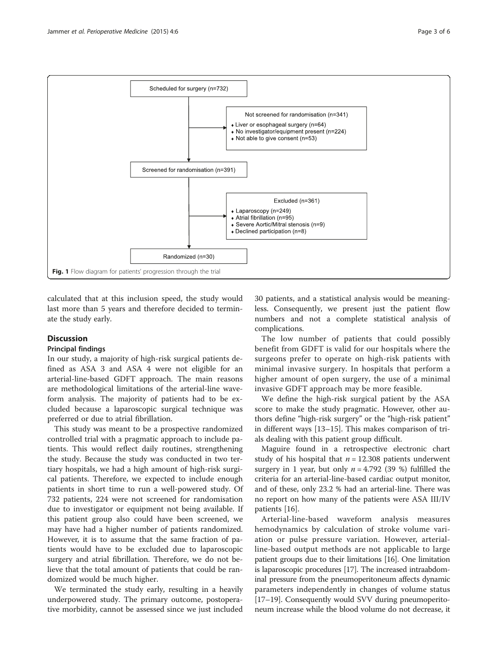<span id="page-2-0"></span>

calculated that at this inclusion speed, the study would last more than 5 years and therefore decided to terminate the study early.

# **Discussion**

#### Principal findings

In our study, a majority of high-risk surgical patients defined as ASA 3 and ASA 4 were not eligible for an arterial-line-based GDFT approach. The main reasons are methodological limitations of the arterial-line waveform analysis. The majority of patients had to be excluded because a laparoscopic surgical technique was preferred or due to atrial fibrillation.

This study was meant to be a prospective randomized controlled trial with a pragmatic approach to include patients. This would reflect daily routines, strengthening the study. Because the study was conducted in two tertiary hospitals, we had a high amount of high-risk surgical patients. Therefore, we expected to include enough patients in short time to run a well-powered study. Of 732 patients, 224 were not screened for randomisation due to investigator or equipment not being available. If this patient group also could have been screened, we may have had a higher number of patients randomized. However, it is to assume that the same fraction of patients would have to be excluded due to laparoscopic surgery and atrial fibrillation. Therefore, we do not believe that the total amount of patients that could be randomized would be much higher.

We terminated the study early, resulting in a heavily underpowered study. The primary outcome, postoperative morbidity, cannot be assessed since we just included

30 patients, and a statistical analysis would be meaningless. Consequently, we present just the patient flow numbers and not a complete statistical analysis of complications.

The low number of patients that could possibly benefit from GDFT is valid for our hospitals where the surgeons prefer to operate on high-risk patients with minimal invasive surgery. In hospitals that perform a higher amount of open surgery, the use of a minimal invasive GDFT approach may be more feasible.

We define the high-risk surgical patient by the ASA score to make the study pragmatic. However, other authors define "high-risk surgery" or the "high-risk patient" in different ways [\[13](#page-4-0)–[15\]](#page-4-0). This makes comparison of trials dealing with this patient group difficult.

Maguire found in a retrospective electronic chart study of his hospital that  $n = 12.308$  patients underwent surgery in 1 year, but only  $n = 4.792$  (39 %) fulfilled the criteria for an arterial-line-based cardiac output monitor, and of these, only 23.2 % had an arterial-line. There was no report on how many of the patients were ASA III/IV patients [\[16\]](#page-4-0).

Arterial-line-based waveform analysis measures hemodynamics by calculation of stroke volume variation or pulse pressure variation. However, arterialline-based output methods are not applicable to large patient groups due to their limitations [[16](#page-4-0)]. One limitation is laparoscopic procedures [\[17\]](#page-4-0). The increased intraabdominal pressure from the pneumoperitoneum affects dynamic parameters independently in changes of volume status [[17](#page-4-0)–[19\]](#page-4-0). Consequently would SVV during pneumoperitoneum increase while the blood volume do not decrease, it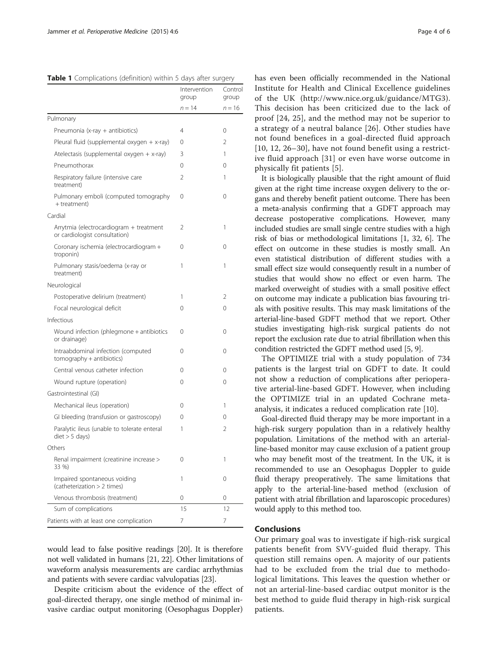<span id="page-3-0"></span>

| Table 1 Complications (definition) within 5 days after surgery |  |  |  |
|----------------------------------------------------------------|--|--|--|
|----------------------------------------------------------------|--|--|--|

|                                                                          | Intervention<br>group | Control<br>group |
|--------------------------------------------------------------------------|-----------------------|------------------|
|                                                                          | $n = 14$              | $n = 16$         |
| Pulmonary                                                                |                       |                  |
| Pneumonia (x-ray + antibiotics)                                          | $\overline{4}$        | 0                |
| Pleural fluid (supplemental oxygen + x-ray)                              | 0                     | $\mathfrak{D}$   |
| Atelectasis (supplemental oxygen + x-ray)                                | 3                     | 1                |
| Pneumothorax                                                             | 0                     | $\Omega$         |
| Respiratory failure (intensive care<br>treatment)                        | $\mathfrak{D}$        | 1                |
| Pulmonary emboli (computed tomography<br>+ treatment)                    | 0                     | 0                |
| Cardial                                                                  |                       |                  |
| Arrytmia (electrocardiogram + treatment<br>or cardiologist consultation) | $\mathfrak{D}$        | 1                |
| Coronary ischemia (electrocardiogram +<br>troponin)                      | 0                     | 0                |
| Pulmonary stasis/oedema (x-ray or<br>treatment)                          | 1                     | 1                |
| Neurological                                                             |                       |                  |
| Postoperative delirium (treatment)                                       | 1                     | 2                |
| Focal neurological deficit                                               | 0                     | 0                |
| Infectious                                                               |                       |                  |
| Wound infection (phlegmone + antibiotics<br>or drainage)                 | 0                     | 0                |
| Intraabdominal infection (computed<br>tomography + antibiotics)          | 0                     | 0                |
| Central venous catheter infection                                        | 0                     | $\Omega$         |
| Wound rupture (operation)                                                | 0                     | 0                |
| Gastrointestinal (GI)                                                    |                       |                  |
| Mechanical ileus (operation)                                             | 0                     | 1                |
| GI bleeding (transfusion or gastroscopy)                                 | 0                     | 0                |
| Paralytic ileus (unable to tolerate enteral<br>dist > 5 days             | 1                     | 2                |
| Others                                                                   |                       |                  |
| Renal impairment (creatinine increase ><br>33 %)                         | 0                     | 1                |
| Impaired spontaneous voiding<br>(catheterization > 2 times)              | 1                     | 0                |
| Venous thrombosis (treatment)                                            | 0                     | 0                |
| Sum of complications                                                     | 15                    | 12               |
| Patients with at least one complication                                  | 7                     | 7                |
|                                                                          |                       |                  |

would lead to false positive readings [[20](#page-4-0)]. It is therefore not well validated in humans [[21](#page-4-0), [22\]](#page-4-0). Other limitations of waveform analysis measurements are cardiac arrhythmias and patients with severe cardiac valvulopatias [[23](#page-4-0)].

Despite criticism about the evidence of the effect of goal-directed therapy, one single method of minimal invasive cardiac output monitoring (Oesophagus Doppler) has even been officially recommended in the National Institute for Health and Clinical Excellence guidelines of the UK (<http://www.nice.org.uk/guidance/MTG3>). This decision has been criticized due to the lack of proof [[24](#page-4-0), [25](#page-4-0)], and the method may not be superior to a strategy of a neutral balance [[26\]](#page-4-0). Other studies have not found benefices in a goal-directed fluid approach [[10](#page-4-0), [12, 26](#page-4-0)–[30](#page-4-0)], have not found benefit using a restrictive fluid approach [[31](#page-5-0)] or even have worse outcome in physically fit patients [\[5](#page-4-0)].

It is biologically plausible that the right amount of fluid given at the right time increase oxygen delivery to the organs and thereby benefit patient outcome. There has been a meta-analysis confirming that a GDFT approach may decrease postoperative complications. However, many included studies are small single centre studies with a high risk of bias or methodological limitations [\[1,](#page-4-0) [32,](#page-5-0) [6\]](#page-4-0). The effect on outcome in these studies is mostly small. An even statistical distribution of different studies with a small effect size would consequently result in a number of studies that would show no effect or even harm. The marked overweight of studies with a small positive effect on outcome may indicate a publication bias favouring trials with positive results. This may mask limitations of the arterial-line-based GDFT method that we report. Other studies investigating high-risk surgical patients do not report the exclusion rate due to atrial fibrillation when this condition restricted the GDFT method used [[5](#page-4-0), [9\]](#page-4-0).

The OPTIMIZE trial with a study population of 734 patients is the largest trial on GDFT to date. It could not show a reduction of complications after perioperative arterial-line-based GDFT. However, when including the OPTIMIZE trial in an updated Cochrane metaanalysis, it indicates a reduced complication rate [\[10](#page-4-0)].

Goal-directed fluid therapy may be more important in a high-risk surgery population than in a relatively healthy population. Limitations of the method with an arterialline-based monitor may cause exclusion of a patient group who may benefit most of the treatment. In the UK, it is recommended to use an Oesophagus Doppler to guide fluid therapy preoperatively. The same limitations that apply to the arterial-line-based method (exclusion of patient with atrial fibrillation and laparoscopic procedures) would apply to this method too.

#### Conclusions

Our primary goal was to investigate if high-risk surgical patients benefit from SVV-guided fluid therapy. This question still remains open. A majority of our patients had to be excluded from the trial due to methodological limitations. This leaves the question whether or not an arterial-line-based cardiac output monitor is the best method to guide fluid therapy in high-risk surgical patients.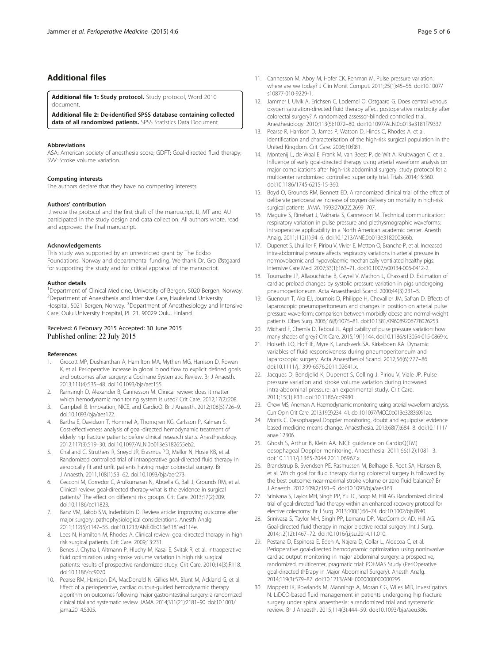# <span id="page-4-0"></span>Additional files

[Additional file 1:](http://www.perioperativemedicinejournal.com/content/supplementary/s13741-015-0016-x-s1.doc) Study protocol. Study protocol, Word 2010 document.

[Additional file 2:](http://www.perioperativemedicinejournal.com/content/supplementary/s13741-015-0016-x-s2.zip) De-identified SPSS database containing collected data of all randomized patients. SPSS Statistics Data Document.

#### Abbreviations

ASA: American society of anesthesia score; GDFT: Goal-directed fluid therapy; SVV: Stroke volume variation.

#### Competing interests

The authors declare that they have no competing interests.

#### Authors' contribution

IJ wrote the protocol and the first draft of the manuscript. IJ, MT and AU participated in the study design and data collection. All authors wrote, read and approved the final manuscript.

#### Acknowledgements

This study was supported by an unrestricted grant by The Eckbo Foundations, Norway and departmental funding. We thank Dr. Gro Østgaard for supporting the study and for critical appraisal of the manuscript.

#### Author details

<sup>1</sup>Department of Clinical Medicine, University of Bergen, 5020 Bergen, Norway. <sup>2</sup>Department of Anaesthesia and Intensive Care, Haukeland University Hospital, 5021 Bergen, Norway. <sup>3</sup>Department of Anesthesiology and Intensive Care, Oulu University Hospital, PL 21, 90029 Oulu, Finland.

#### Received: 6 February 2015 Accepted: 30 June 2015 Published online: 22 July 2015

#### References

- 1. Grocott MP, Dushianthan A, Hamilton MA, Mythen MG, Harrison D, Rowan K, et al. Perioperative increase in global blood flow to explicit defined goals and outcomes after surgery: a Cochrane Systematic Review. Br J Anaesth. 2013;111(4):535–48. doi[:10.1093/bja/aet155](http://dx.doi.org/10.1093/bja/aet155).
- 2. Ramsingh D, Alexander B, Cannesson M. Clinical review: does it matter which hemodynamic monitoring system is used? Crit Care. 2012;17(2):208.
- 3. Campbell B. Innovation, NICE, and CardioQ. Br J Anaesth. 2012;108(5):726–9. doi[:10.1093/bja/aes122.](http://dx.doi.org/10.1093/bja/aes122)
- Bartha E, Davidson T, Hommel A, Thorngren KG, Carlsson P, Kalman S. Cost-effectiveness analysis of goal-directed hemodynamic treatment of elderly hip fracture patients: before clinical research starts. Anesthesiology. 2012;117(3):519–30. doi[:10.1097/ALN.0b013e3182655eb2.](http://dx.doi.org/10.1097/ALN.0b013e3182655eb2)
- 5. Challand C, Struthers R, Sneyd JR, Erasmus PD, Mellor N, Hosie KB, et al. Randomized controlled trial of intraoperative goal-directed fluid therapy in aerobically fit and unfit patients having major colorectal surgery. Br J Anaesth. 2011;108(1):53–62. doi:[10.1093/bja/aer273.](http://dx.doi.org/10.1093/bja/aer273)
- 6. Cecconi M, Corredor C, Arulkumaran N, Abuella G, Ball J, Grounds RM, et al. Clinical review: goal-directed therapy-what is the evidence in surgical patients? The effect on different risk groups. Crit Care. 2013;17(2):209. doi[:10.1186/cc11823](http://dx.doi.org/10.1186/cc11823).
- Banz VM, Jakob SM, Inderbitzin D. Review article: improving outcome after major surgery: pathophysiological considerations. Anesth Analg. 2011;112(5):1147–55. doi:[10.1213/ANE.0b013e3181ed114e.](http://dx.doi.org/10.1213/ANE.0b013e3181ed114e)
- Lees N, Hamilton M, Rhodes A. Clinical review: goal-directed therapy in high risk surgical patients. Crit Care. 2009;13:231.
- 9. Benes J, Chytra I, Altmann P, Hluchy M, Kasal E, Svitak R, et al. Intraoperative fluid optimization using stroke volume variation in high risk surgical patients: results of prospective randomized study. Crit Care. 2010;14(3):R118. doi[:10.1186/cc9070.](http://dx.doi.org/10.1186/cc9070)
- 10. Pearse RM, Harrison DA, MacDonald N, Gillies MA, Blunt M, Ackland G, et al. Effect of a perioperative, cardiac output-guided hemodynamic therapy algorithm on outcomes following major gastrointestinal surgery: a randomized clinical trial and systematic review. JAMA. 2014;311(21):2181–90. doi[:10.1001/](http://dx.doi.org/10.1001/jama.2014.5305) [jama.2014.5305.](http://dx.doi.org/10.1001/jama.2014.5305)
- 11. Cannesson M, Aboy M, Hofer CK, Rehman M. Pulse pressure variation: where are we today? J Clin Monit Comput. 2011;25(1):45–56. doi:[10.1007/](http://dx.doi.org/10.1007/s10877-010-9229-1) [s10877-010-9229-1.](http://dx.doi.org/10.1007/s10877-010-9229-1)
- 12. Jammer I, Ulvik A, Erichsen C, Lodemel O, Ostgaard G. Does central venous oxygen saturation-directed fluid therapy affect postoperative morbidity after colorectal surgery? A randomized assessor-blinded controlled trial. Anesthesiology. 2010;113(5):1072–80. doi[:10.1097/ALN.0b013e3181f79337](http://dx.doi.org/10.1097/ALN.0b013e3181f79337).
- 13. Pearse R, Harrison D, James P, Watson D, Hinds C, Rhodes A, et al. Identification and characterisation of the high-risk surgical population in the United Kingdom. Crit Care. 2006;10:R81.
- 14. Montenij L, de Waal E, Frank M, van Beest P, de Wit A, Kruitwagen C, et al. Influence of early goal-directed therapy using arterial waveform analysis on major complications after high-risk abdominal surgery: study protocol for a multicenter randomized controlled superiority trial. Trials. 2014;15:360. doi[:10.1186/1745-6215-15-360.](http://dx.doi.org/10.1186/1745-6215-15-360)
- 15. Boyd O, Grounds RM, Bennett ED. A randomized clinical trial of the effect of deliberate perioperative increase of oxygen delivery on mortality in high-risk surgical patients. JAMA. 1993;270(22):2699–707.
- 16. Maguire S, Rinehart J, Vakharia S, Cannesson M. Technical communication: respiratory variation in pulse pressure and plethysmographic waveforms: intraoperative applicability in a North American academic center. Anesth Analg. 2011;112(1):94–6. doi[:10.1213/ANE.0b013e318200366b](http://dx.doi.org/10.1213/ANE.0b013e318200366b).
- 17. Duperret S, Lhuillier F, Piriou V, Vivier E, Metton O, Branche P, et al. Increased intra-abdominal pressure affects respiratory variations in arterial pressure in normovolaemic and hypovolaemic mechanically ventilated healthy pigs. Intensive Care Med. 2007;33(1):163–71. doi:[10.1007/s00134-006-0412-2](http://dx.doi.org/10.1007/s00134-006-0412-2).
- 18. Tournadre JP, Allaouchiche B, Cayrel V, Mathon L, Chassard D. Estimation of cardiac preload changes by systolic pressure variation in pigs undergoing pneumoperitoneum. Acta Anaesthesiol Scand. 2000;44(3):231–5.
- 19. Guenoun T, Aka EJ, Journois D, Philippe H, Chevallier JM, Safran D. Effects of laparoscopic pneumoperitoneum and changes in position on arterial pulse pressure wave-form: comparison between morbidly obese and normal-weight patients. Obes Surg. 2006;16(8):1075–81. doi[:10.1381/096089206778026253](http://dx.doi.org/10.1381/096089206778026253).
- 20. Michard F, Chemla D, Teboul JL. Applicability of pulse pressure variation: how many shades of grey? Crit Care. 2015;19(1):144. doi[:10.1186/s13054-015-0869-x.](http://dx.doi.org/10.1186/s13054-015-0869-x)
- 21. Hoiseth LO, Hoff IE, Myre K, Landsverk SA, Kirkeboen KA. Dynamic variables of fluid responsiveness during pneumoperitoneum and laparoscopic surgery. Acta Anaesthesiol Scand. 2012;56(6):777–86. doi[:10.1111/j.1399-6576.2011.02641.x](http://dx.doi.org/10.1111/j.1399-6576.2011.02641.x).
- 22. Jacques D, Bendjelid K, Duperret S, Colling J, Piriou V, Viale JP. Pulse pressure variation and stroke volume variation during increased intra-abdominal pressure: an experimental study. Crit Care. 2011;15(1):R33. doi:[10.1186/cc9980.](http://dx.doi.org/10.1186/cc9980)
- 23. Chew MS, Aneman A. Haemodynamic monitoring using arterial waveform analysis. Curr Opin Crit Care. 2013;19(3):234–41. doi[:10.1097/MCC.0b013e32836091ae.](http://dx.doi.org/10.1097/MCC.0b013e32836091ae)
- 24. Morris C. Oesophageal Doppler monitoring, doubt and equipoise: evidence based medicine means change. Anaesthesia. 2013;68(7):684–8. doi:[10.1111/](http://dx.doi.org/10.1111/anae.12306) [anae.12306.](http://dx.doi.org/10.1111/anae.12306)
- 25. Ghosh S, Arthur B, Klein AA. NICE guidance on CardioQ(TM) oesophageal Doppler monitoring. Anaesthesia. 2011;66(12):1081–3. doi:[10.1111/j.1365-2044.2011.06967.x](http://dx.doi.org/10.1111/j.1365-2044.2011.06967.x).
- 26. Brandstrup B, Svendsen PE, Rasmussen M, Belhage B, Rodt SA, Hansen B, et al. Which goal for fluid therapy during colorectal surgery is followed by the best outcome: near-maximal stroke volume or zero fluid balance? Br J Anaesth. 2012;109(2):191–9. doi:[10.1093/bja/aes163](http://dx.doi.org/10.1093/bja/aes163).
- 27. Srinivasa S, Taylor MH, Singh PP, Yu TC, Soop M, Hill AG. Randomized clinical trial of goal-directed fluid therapy within an enhanced recovery protocol for elective colectomy. Br J Surg. 2013;100(1):66-74. doi[:10.1002/bjs.8940.](http://dx.doi.org/10.1002/bjs.8940)
- 28. Srinivasa S, Taylor MH, Singh PP, Lemanu DP, MacCormick AD, Hill AG. Goal-directed fluid therapy in major elective rectal surgery. Int J Surg. 2014;12(12):1467–72. doi:[10.1016/j.ijsu.2014.11.010](http://dx.doi.org/10.1016/j.ijsu.2014.11.010).
- 29. Pestana D, Espinosa E, Eden A, Najera D, Collar L, Aldecoa C, et al. Perioperative goal-directed hemodynamic optimization using noninvasive cardiac output monitoring in major abdominal surgery: a prospective, randomized, multicenter, pragmatic trial: POEMAS Study (PeriOperative goal-directed thErapy in Major Abdominal Surgery). Anesth Analg. 2014;119(3):579–87. doi[:10.1213/ANE.0000000000000295](http://dx.doi.org/10.1213/ANE.0000000000000295).
- 30. Moppett IK, Rowlands M, Mannings A, Moran CG, Wiles MD, Investigators N. LiDCO-based fluid management in patients undergoing hip fracture surgery under spinal anaesthesia: a randomized trial and systematic review. Br J Anaesth. 2015;114(3):444–59. doi[:10.1093/bja/aeu386.](http://dx.doi.org/10.1093/bja/aeu386)